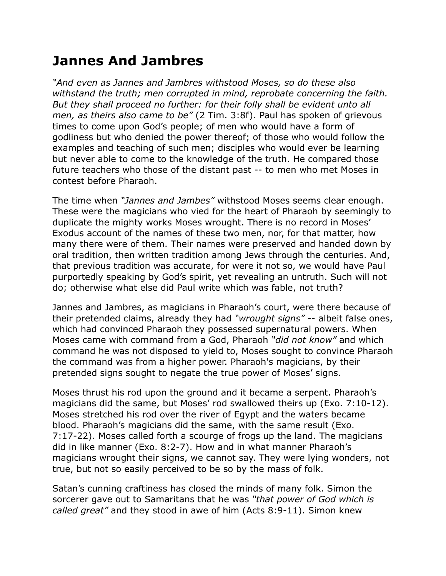## **Jannes And Jambres**

*"And even as Jannes and Jambres withstood Moses, so do these also withstand the truth; men corrupted in mind, reprobate concerning the faith. But they shall proceed no further: for their folly shall be evident unto all men, as theirs also came to be"* (2 Tim. 3:8f). Paul has spoken of grievous times to come upon God's people; of men who would have a form of godliness but who denied the power thereof; of those who would follow the examples and teaching of such men; disciples who would ever be learning but never able to come to the knowledge of the truth. He compared those future teachers who those of the distant past -- to men who met Moses in contest before Pharaoh.

The time when *"Jannes and Jambes"* withstood Moses seems clear enough. These were the magicians who vied for the heart of Pharaoh by seemingly to duplicate the mighty works Moses wrought. There is no record in Moses' Exodus account of the names of these two men, nor, for that matter, how many there were of them. Their names were preserved and handed down by oral tradition, then written tradition among Jews through the centuries. And, that previous tradition was accurate, for were it not so, we would have Paul purportedly speaking by God's spirit, yet revealing an untruth. Such will not do; otherwise what else did Paul write which was fable, not truth?

Jannes and Jambres, as magicians in Pharaoh's court, were there because of their pretended claims, already they had *"wrought signs"* -- albeit false ones, which had convinced Pharaoh they possessed supernatural powers. When Moses came with command from a God, Pharaoh *"did not know"* and which command he was not disposed to yield to, Moses sought to convince Pharaoh the command was from a higher power. Pharaoh's magicians, by their pretended signs sought to negate the true power of Moses' signs.

Moses thrust his rod upon the ground and it became a serpent. Pharaoh's magicians did the same, but Moses' rod swallowed theirs up (Exo. 7:10-12). Moses stretched his rod over the river of Egypt and the waters became blood. Pharaoh's magicians did the same, with the same result (Exo. 7:17-22). Moses called forth a scourge of frogs up the land. The magicians did in like manner (Exo. 8:2-7). How and in what manner Pharaoh's magicians wrought their signs, we cannot say. They were lying wonders, not true, but not so easily perceived to be so by the mass of folk.

Satan's cunning craftiness has closed the minds of many folk. Simon the sorcerer gave out to Samaritans that he was *"that power of God which is called great"* and they stood in awe of him (Acts 8:9-11). Simon knew